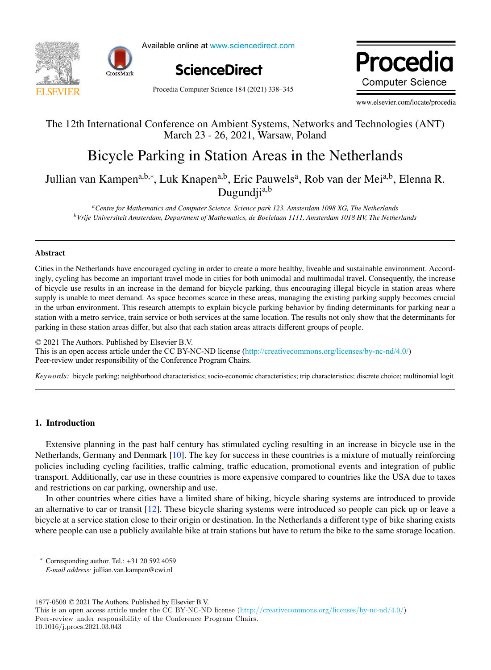



Available online at www.sciencedirect.com



Procedia Computer Science 184 (2021) 338-345

Procedia **Computer Science** 

www.elsevier.com/locate/procedia

# The 12th International Conference on Ambient Systems, Networks and Technologies (ANT) The 12th International Conference on Ambient Systems, Networks and Technologies (ANT) March 23 - 26, 2021, Warsaw, Poland

# Bicycle Parking in Station Areas in the Netherlands Bicycle Parking in Station Areas in the Netherlands

Jullian van Kampena,b,<sup>∗</sup> , Luk Knapena,b, Eric Pauwelsa , Rob van der Meia,b, Elenna R. <sup>---</sup>, Efic Pau<br>Dugundiia,b Jullian van Kampen<sup>a,b,∗</sup>, Luk Knapen<sup>a,b</sup>, Eric Pauwels<sup>a</sup>, Rob van der Mei<sup>a,b</sup>, Elenna R. Dugundji<sup>a,b</sup>

*aCentre for Mathematics and Computer Science, Science park 123, Amsterdam 1098 XG, The Netherlands* <sup>a</sup>Centre for Mathematics and Computer Science, Science park 123, Amsterdam 1098 XG, The Netherlands *bVrije Universiteit Amsterdam, Department of Mathematics, de Boelelaan 1111, Amsterdam 1018 HV, The Netherlands*

#### Abstract Abstract

Cities in the Netherlands have encouraged cycling in order to create a more healthy, liveable and sustainable environment. Accordingly, cycling has become an important travel mode in cities for both unimodal and multimodal travel. Consequently, the increase of bicycle use results in an increase in the demand for bicycle parking, thus encouraging illegal bicycle in station areas where supply is unable to meet demand. As space becomes scarce in these areas, managing the existing parking supply becomes crucial in the urban environment. This research attempts to explain bicycle parking behavior by finding determinants for parking near a station with a metro service, train service or both services at the same location. The results not only show that the determinants for parking in these station areas differ, but also that each station areas attracts different groups of people.

© 2021 The Authors. Published by Elsevier B.V. © 2020 The Authors. Published by Elsevier B.V. This is an open access article under the CC BY-NC-ND license (<http://creativecommons.org/licenses/by-nc-nd/4.0/>) Peer-review under responsibility of the Conference Program Chairs.

*Keywords:* bicycle parking; neighborhood characteristics; socio-economic characteristics; trip characteristics; discrete choice; multinomial logit *Keywords:* bicycle parking; neighborhood characteristics; socio-economic characteristics; trip characteristics; discrete choice; multinomial logit

#### 1. Introduction

Extensive planning in the past half century has stimulated cycling resulting in an increase in bicycle use in the Netherlands, Germany and Denmark [10]. The key for success in these countries is a mixture of mutually reinforcing policies including cycling facilities, traffic calming, traffic education, promotional events and integration of public transport. Additionally, car use in these countries is more expensive compared to countries like the USA due to taxes and restrictions on car parking, ownership and use.

In other countries where cities have a limited share of biking, bicycle sharing systems are introduced to provide an alternative to car or transit  $[12]$ . These bicycle sharing systems were introduced so people can pick up or leave a bicycle at a service station close to their origin or destination. In the Netherlands a different type of bike sharing exists where people can use a publicly available bike at train stations but have to return the bike to the same storage location. where  $\frac{1}{\sqrt{2}}$  is the same stations but have to the same stations but have to the same storage location.

 $1877-0509 \odot 2021$  The Authors. Published by Elsevier B.V.

Peer-review under responsibility of the Conference Program Chairs.

<sup>∗</sup> Corresponding author. Tel.: +31 20 592 4059

*E-mail address:* jullian.van.kampen@cwi.nl *E-mail address:* jullian.van.kampen@cwi.nl

This is an open access article under the CC BY-NC-ND license (http://creativecommons.org/licenses/by-nc-nd/4.0/) Peer-review under responsibility of the Conference Program Chairs. 10.1016/j.procs.2021.03.043  $T_{\rm 1877-0509} \otimes 2021$  The Authors. Published by Elsevier B.V. I mis is an open access article under the CC BY-NC-ND ficens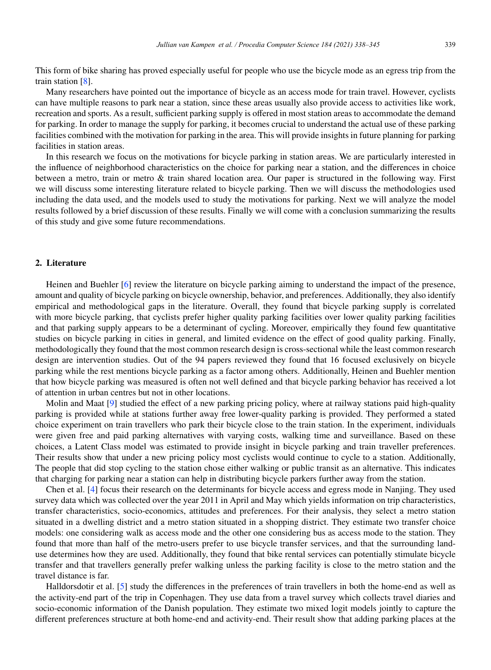This form of bike sharing has proved especially useful for people who use the bicycle mode as an egress trip from the train station [8].

Many researchers have pointed out the importance of bicycle as an access mode for train travel. However, cyclists can have multiple reasons to park near a station, since these areas usually also provide access to activities like work, recreation and sports. As a result, sufficient parking supply is offered in most station areas to accommodate the demand for parking. In order to manage the supply for parking, it becomes crucial to understand the actual use of these parking facilities combined with the motivation for parking in the area. This will provide insights in future planning for parking facilities in station areas.

In this research we focus on the motivations for bicycle parking in station areas. We are particularly interested in the influence of neighborhood characteristics on the choice for parking near a station, and the differences in choice between a metro, train or metro & train shared location area. Our paper is structured in the following way. First we will discuss some interesting literature related to bicycle parking. Then we will discuss the methodologies used including the data used, and the models used to study the motivations for parking. Next we will analyze the model results followed by a brief discussion of these results. Finally we will come with a conclusion summarizing the results of this study and give some future recommendations.

#### 2. Literature

Heinen and Buehler [6] review the literature on bicycle parking aiming to understand the impact of the presence, amount and quality of bicycle parking on bicycle ownership, behavior, and preferences. Additionally, they also identify empirical and methodological gaps in the literature. Overall, they found that bicycle parking supply is correlated with more bicycle parking, that cyclists prefer higher quality parking facilities over lower quality parking facilities and that parking supply appears to be a determinant of cycling. Moreover, empirically they found few quantitative studies on bicycle parking in cities in general, and limited evidence on the effect of good quality parking. Finally, methodologically they found that the most common research design is cross-sectional while the least common research design are intervention studies. Out of the 94 papers reviewed they found that 16 focused exclusively on bicycle parking while the rest mentions bicycle parking as a factor among others. Additionally, Heinen and Buehler mention that how bicycle parking was measured is often not well defined and that bicycle parking behavior has received a lot of attention in urban centres but not in other locations.

Molin and Maat [9] studied the effect of a new parking pricing policy, where at railway stations paid high-quality parking is provided while at stations further away free lower-quality parking is provided. They performed a stated choice experiment on train travellers who park their bicycle close to the train station. In the experiment, individuals were given free and paid parking alternatives with varying costs, walking time and surveillance. Based on these choices, a Latent Class model was estimated to provide insight in bicycle parking and train traveller preferences. Their results show that under a new pricing policy most cyclists would continue to cycle to a station. Additionally, The people that did stop cycling to the station chose either walking or public transit as an alternative. This indicates that charging for parking near a station can help in distributing bicycle parkers further away from the station.

Chen et al. [4] focus their research on the determinants for bicycle access and egress mode in Nanjing. They used survey data which was collected over the year 2011 in April and May which yields information on trip characteristics, transfer characteristics, socio-economics, attitudes and preferences. For their analysis, they select a metro station situated in a dwelling district and a metro station situated in a shopping district. They estimate two transfer choice models: one considering walk as access mode and the other one considering bus as access mode to the station. They found that more than half of the metro-users prefer to use bicycle transfer services, and that the surrounding landuse determines how they are used. Additionally, they found that bike rental services can potentially stimulate bicycle transfer and that travellers generally prefer walking unless the parking facility is close to the metro station and the travel distance is far.

Halldorsdotir et al. [5] study the differences in the preferences of train travellers in both the home-end as well as the activity-end part of the trip in Copenhagen. They use data from a travel survey which collects travel diaries and socio-economic information of the Danish population. They estimate two mixed logit models jointly to capture the different preferences structure at both home-end and activity-end. Their result show that adding parking places at the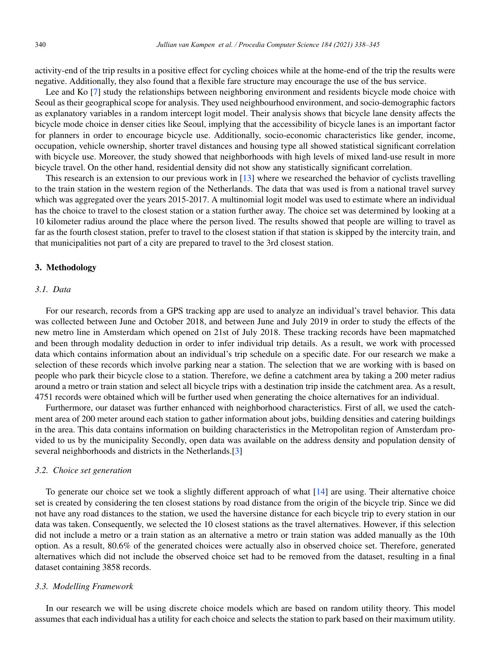activity-end of the trip results in a positive effect for cycling choices while at the home-end of the trip the results were negative. Additionally, they also found that a flexible fare structure may encourage the use of the bus service.

Lee and Ko [7] study the relationships between neighboring environment and residents bicycle mode choice with Seoul as their geographical scope for analysis. They used neighbourhood environment, and socio-demographic factors as explanatory variables in a random intercept logit model. Their analysis shows that bicycle lane density affects the bicycle mode choice in denser cities like Seoul, implying that the accessibility of bicycle lanes is an important factor for planners in order to encourage bicycle use. Additionally, socio-economic characteristics like gender, income, occupation, vehicle ownership, shorter travel distances and housing type all showed statistical significant correlation with bicycle use. Moreover, the study showed that neighborhoods with high levels of mixed land-use result in more bicycle travel. On the other hand, residential density did not show any statistically significant correlation.

This research is an extension to our previous work in [13] where we researched the behavior of cyclists travelling to the train station in the western region of the Netherlands. The data that was used is from a national travel survey which was aggregated over the years 2015-2017. A multinomial logit model was used to estimate where an individual has the choice to travel to the closest station or a station further away. The choice set was determined by looking at a 10 kilometer radius around the place where the person lived. The results showed that people are willing to travel as far as the fourth closest station, prefer to travel to the closest station if that station is skipped by the intercity train, and that municipalities not part of a city are prepared to travel to the 3rd closest station.

#### 3. Methodology

#### *3.1. Data*

For our research, records from a GPS tracking app are used to analyze an individual's travel behavior. This data was collected between June and October 2018, and between June and July 2019 in order to study the effects of the new metro line in Amsterdam which opened on 21st of July 2018. These tracking records have been mapmatched and been through modality deduction in order to infer individual trip details. As a result, we work with processed data which contains information about an individual's trip schedule on a specific date. For our research we make a selection of these records which involve parking near a station. The selection that we are working with is based on people who park their bicycle close to a station. Therefore, we define a catchment area by taking a 200 meter radius around a metro or train station and select all bicycle trips with a destination trip inside the catchment area. As a result, 4751 records were obtained which will be further used when generating the choice alternatives for an individual.

Furthermore, our dataset was further enhanced with neighborhood characteristics. First of all, we used the catchment area of 200 meter around each station to gather information about jobs, building densities and catering buildings in the area. This data contains information on building characteristics in the Metropolitan region of Amsterdam provided to us by the municipality Secondly, open data was available on the address density and population density of several neighborhoods and districts in the Netherlands.[3]

#### *3.2. Choice set generation*

To generate our choice set we took a slightly different approach of what  $[14]$  are using. Their alternative choice set is created by considering the ten closest stations by road distance from the origin of the bicycle trip. Since we did not have any road distances to the station, we used the haversine distance for each bicycle trip to every station in our data was taken. Consequently, we selected the 10 closest stations as the travel alternatives. However, if this selection did not include a metro or a train station as an alternative a metro or train station was added manually as the 10th option. As a result, 80.6% of the generated choices were actually also in observed choice set. Therefore, generated alternatives which did not include the observed choice set had to be removed from the dataset, resulting in a final dataset containing 3858 records.

# *3.3. Modelling Framework*

In our research we will be using discrete choice models which are based on random utility theory. This model assumes that each individual has a utility for each choice and selects the station to park based on their maximum utility.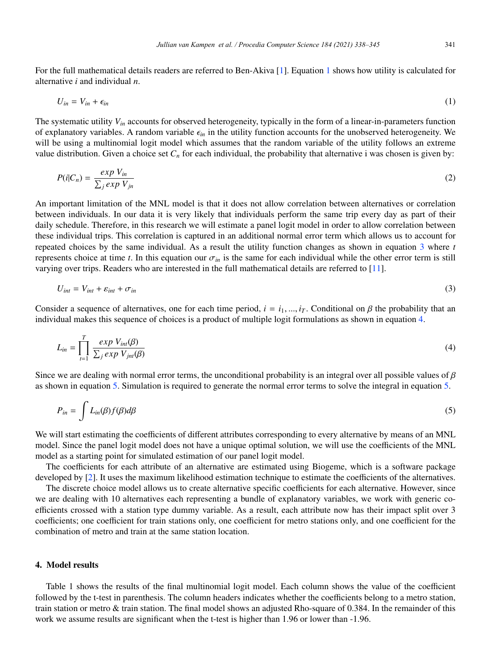For the full mathematical details readers are referred to Ben-Akiva [1]. Equation 1 shows how utility is calculated for alternative *i* and individual *n*.

$$
U_{in} = V_{in} + \epsilon_{in} \tag{1}
$$

The systematic utility *Vin* accounts for observed heterogeneity, typically in the form of a linear-in-parameters function of explanatory variables. A random variable  $\epsilon_{in}$  in the utility function accounts for the unobserved heterogeneity. We will be using a multinomial logit model which assumes that the random variable of the utility follows an extreme value distribution. Given a choice set  $C_n$  for each individual, the probability that alternative i was chosen is given by:

$$
P(i|C_n) = \frac{\exp V_{in}}{\sum_j \exp V_{jn}}\tag{2}
$$

An important limitation of the MNL model is that it does not allow correlation between alternatives or correlation between individuals. In our data it is very likely that individuals perform the same trip every day as part of their daily schedule. Therefore, in this research we will estimate a panel logit model in order to allow correlation between these individual trips. This correlation is captured in an additional normal error term which allows us to account for repeated choices by the same individual. As a result the utility function changes as shown in equation 3 where *t* represents choice at time *t*. In this equation our  $\sigma_{in}$  is the same for each individual while the other error term is still varying over trips. Readers who are interested in the full mathematical details are referred to [11].

$$
U_{int} = V_{int} + \varepsilon_{int} + \sigma_{in} \tag{3}
$$

Consider a sequence of alternatives, one for each time period,  $i = i_1, ..., i_T$ . Conditional on  $\beta$  the probability that an individual makes this sequence of choices is a product of multiple logit formulations as shown in equation 4.

$$
L_{in} = \prod_{t=1}^{T} \frac{exp V_{int}(\beta)}{\sum_{j} exp V_{int}(\beta)}
$$
(4)

Since we are dealing with normal error terms, the unconditional probability is an integral over all possible values of  $\beta$ as shown in equation 5. Simulation is required to generate the normal error terms to solve the integral in equation 5.

$$
P_{in} = \int L_{in}(\beta) f(\beta) d\beta \tag{5}
$$

We will start estimating the coefficients of different attributes corresponding to every alternative by means of an MNL model. Since the panel logit model does not have a unique optimal solution, we will use the coefficients of the MNL model as a starting point for simulated estimation of our panel logit model.

The coefficients for each attribute of an alternative are estimated using Biogeme, which is a software package developed by [2]. It uses the maximum likelihood estimation technique to estimate the coefficients of the alternatives.

The discrete choice model allows us to create alternative specific coefficients for each alternative. However, since we are dealing with 10 alternatives each representing a bundle of explanatory variables, we work with generic coefficients crossed with a station type dummy variable. As a result, each attribute now has their impact split over 3 coefficients; one coefficient for train stations only, one coefficient for metro stations only, and one coefficient for the combination of metro and train at the same station location.

#### 4. Model results

Table 1 shows the results of the final multinomial logit model. Each column shows the value of the coefficient followed by the t-test in parenthesis. The column headers indicates whether the coefficients belong to a metro station, train station or metro & train station. The final model shows an adjusted Rho-square of 0.384. In the remainder of this work we assume results are significant when the t-test is higher than 1.96 or lower than -1.96.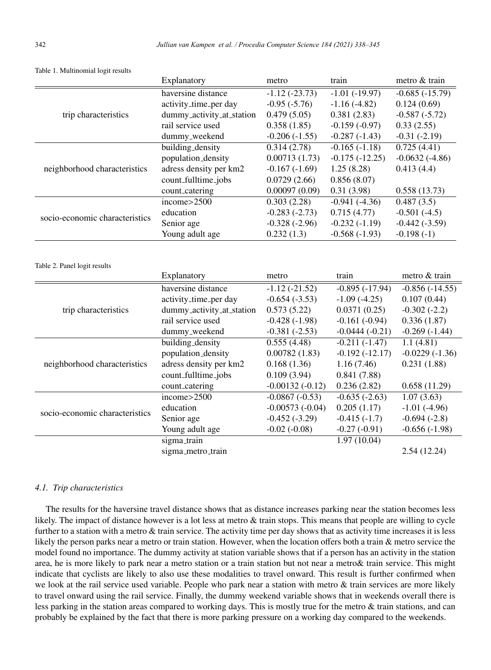|                                | Explanatory                                    | metro                          | train                               | metro & train                |
|--------------------------------|------------------------------------------------|--------------------------------|-------------------------------------|------------------------------|
| trip characteristics           | haversine distance                             | $-1.12(-23.73)$                | $-1.01(-19.97)$                     | $-0.685(-15.79)$             |
|                                | activity_time_per day                          | $-0.95(-5.76)$                 | $-1.16(-4.82)$                      | 0.124(0.69)                  |
|                                | dummy_activity_at_station                      | 0.479(5.05)                    | 0.381(2.83)                         | $-0.587(-5.72)$              |
|                                | rail service used                              | 0.358(1.85)                    | $-0.159(-0.97)$                     | 0.33(2.55)                   |
|                                | dummy_weekend                                  | $-0.206(-1.55)$                | $-0.287(-1.43)$                     | $-0.31(-2.19)$               |
| neighborhood characteristics   | building_density                               | 0.314(2.78)                    | $-0.165(-1.18)$                     | 0.725(4.41)                  |
|                                | population_density                             | 0.00713(1.73)                  | $-0.175(-12.25)$                    | $-0.0632(-4.86)$             |
|                                | adress density per km2                         | $-0.167(-1.69)$                | 1.25(8.28)                          | 0.413(4.4)                   |
|                                | count_fulltime_jobs                            | 0.0729(2.66)                   | 0.856(8.07)                         |                              |
|                                | count_catering                                 | 0.00097(0.09)                  | 0.31(3.98)                          | 0.558(13.73)                 |
| socio-economic characteristics | $\overline{income>2500}$                       | 0.303(2.28)                    | $-0.941(-4.36)$                     | $\overline{0.487(3.5)}$      |
|                                | education                                      | $-0.283(-2.73)$                | 0.715(4.77)                         | $-0.501(-4.5)$               |
|                                | Senior age                                     | $-0.328(-2.96)$                | $-0.232(-1.19)$                     | $-0.442(-3.59)$              |
|                                | Young adult age                                | 0.232(1.3)                     | $-0.568(-1.93)$                     | $-0.198(-1)$                 |
| Table 2. Panel logit results   |                                                |                                |                                     |                              |
|                                |                                                | metro                          | train                               |                              |
|                                | Explanatory                                    |                                |                                     | metro & train                |
|                                | haversine distance                             | $-1.12(-21.52)$                | $-0.895(-17.94)$                    | $-0.856(-14.55)$             |
|                                | activity_time_per day                          | $-0.654(-3.53)$                | $-1.09(-4.25)$                      | 0.107(0.44)                  |
| trip characteristics           | dummy_activity_at_station<br>rail service used | 0.573(5.22)                    | 0.0371(0.25)                        | $-0.302(-2.2)$               |
|                                |                                                | $-0.428(-1.98)$                | $-0.161(-0.94)$                     | 0.336(1.87)                  |
|                                | dummy_weekend<br>building_density              | $-0.381(-2.53)$<br>0.555(4.48) | $-0.0444(-0.21)$<br>$-0.211(-1.47)$ | $-0.269(-1.44)$<br>1.1(4.81) |
|                                | population_density                             | 0.00782(1.83)                  | $-0.192(-12.17)$                    | $-0.0229(-1.36)$             |
| neighborhood characteristics   | adress density per km2                         | 0.168(1.36)                    | 1.16(7.46)                          | 0.231(1.88)                  |
|                                | count_fulltime_jobs                            | 0.109(3.94)                    | 0.841(7.88)                         |                              |
|                                | count_catering                                 | $-0.00132(-0.12)$              | 0.236(2.82)                         | 0.658(11.29)                 |
|                                | income>2500                                    | $-0.0867(-0.53)$               | $-0.635(-2.63)$                     | 1.07(3.63)                   |
|                                | education                                      | $-0.00573(-0.04)$              | 0.205(1.17)                         | $-1.01(-4.96)$               |
| socio-economic characteristics | Senior age                                     | $-0.452(-3.29)$                | $-0.415(-1.7)$                      | $-0.694(-2.8)$               |
|                                | Young adult age                                | $-0.02(-0.08)$                 | $-0.27(-0.91)$                      | $-0.656(-1.98)$              |
|                                | sigma_train                                    |                                | 1.97(10.04)                         |                              |

Table 1. Multinomial logit results

# *4.1. Trip characteristics*

The results for the haversine travel distance shows that as distance increases parking near the station becomes less likely. The impact of distance however is a lot less at metro & train stops. This means that people are willing to cycle further to a station with a metro & train service. The activity time per day shows that as activity time increases it is less likely the person parks near a metro or train station. However, when the location offers both a train & metro service the model found no importance. The dummy activity at station variable shows that if a person has an activity in the station area, he is more likely to park near a metro station or a train station but not near a metro& train service. This might indicate that cyclists are likely to also use these modalities to travel onward. This result is further confirmed when we look at the rail service used variable. People who park near a station with metro & train services are more likely to travel onward using the rail service. Finally, the dummy weekend variable shows that in weekends overall there is less parking in the station areas compared to working days. This is mostly true for the metro & train stations, and can probably be explained by the fact that there is more parking pressure on a working day compared to the weekends.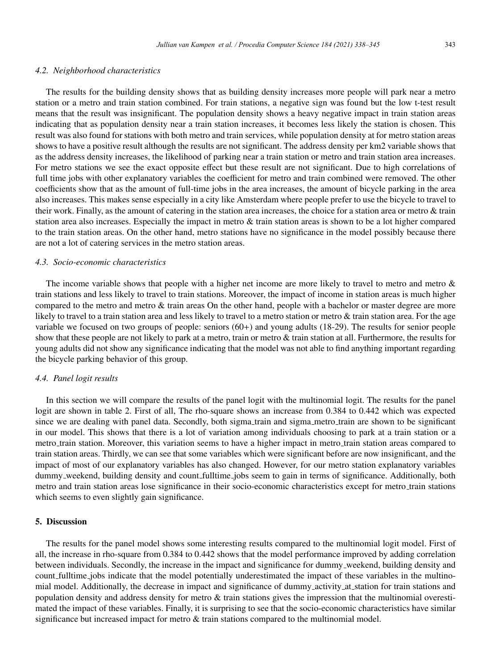#### *4.2. Neighborhood characteristics*

The results for the building density shows that as building density increases more people will park near a metro station or a metro and train station combined. For train stations, a negative sign was found but the low t-test result means that the result was insignificant. The population density shows a heavy negative impact in train station areas indicating that as population density near a train station increases, it becomes less likely the station is chosen. This result was also found for stations with both metro and train services, while population density at for metro station areas shows to have a positive result although the results are not significant. The address density per km2 variable shows that as the address density increases, the likelihood of parking near a train station or metro and train station area increases. For metro stations we see the exact opposite effect but these result are not significant. Due to high correlations of full time jobs with other explanatory variables the coefficient for metro and train combined were removed. The other coefficients show that as the amount of full-time jobs in the area increases, the amount of bicycle parking in the area also increases. This makes sense especially in a city like Amsterdam where people prefer to use the bicycle to travel to their work. Finally, as the amount of catering in the station area increases, the choice for a station area or metro & train station area also increases. Especially the impact in metro & train station areas is shown to be a lot higher compared to the train station areas. On the other hand, metro stations have no significance in the model possibly because there are not a lot of catering services in the metro station areas.

## *4.3. Socio-economic characteristics*

The income variable shows that people with a higher net income are more likely to travel to metro and metro & train stations and less likely to travel to train stations. Moreover, the impact of income in station areas is much higher compared to the metro and metro & train areas On the other hand, people with a bachelor or master degree are more likely to travel to a train station area and less likely to travel to a metro station or metro & train station area. For the age variable we focused on two groups of people: seniors (60+) and young adults (18-29). The results for senior people show that these people are not likely to park at a metro, train or metro & train station at all. Furthermore, the results for young adults did not show any significance indicating that the model was not able to find anything important regarding the bicycle parking behavior of this group.

## *4.4. Panel logit results*

In this section we will compare the results of the panel logit with the multinomial logit. The results for the panel logit are shown in table 2. First of all, The rho-square shows an increase from 0.384 to 0.442 which was expected since we are dealing with panel data. Secondly, both sigma train and sigma metro train are shown to be significant in our model. This shows that there is a lot of variation among individuals choosing to park at a train station or a metro train station. Moreover, this variation seems to have a higher impact in metro train station areas compared to train station areas. Thirdly, we can see that some variables which were significant before are now insignificant, and the impact of most of our explanatory variables has also changed. However, for our metro station explanatory variables dummy weekend, building density and count fulltime jobs seem to gain in terms of significance. Additionally, both metro and train station areas lose significance in their socio-economic characteristics except for metro train stations which seems to even slightly gain significance.

#### 5. Discussion

The results for the panel model shows some interesting results compared to the multinomial logit model. First of all, the increase in rho-square from 0.384 to 0.442 shows that the model performance improved by adding correlation between individuals. Secondly, the increase in the impact and significance for dummy weekend, building density and count fulltime jobs indicate that the model potentially underestimated the impact of these variables in the multinomial model. Additionally, the decrease in impact and significance of dummy activity at station for train stations and population density and address density for metro & train stations gives the impression that the multinomial overestimated the impact of these variables. Finally, it is surprising to see that the socio-economic characteristics have similar significance but increased impact for metro & train stations compared to the multinomial model.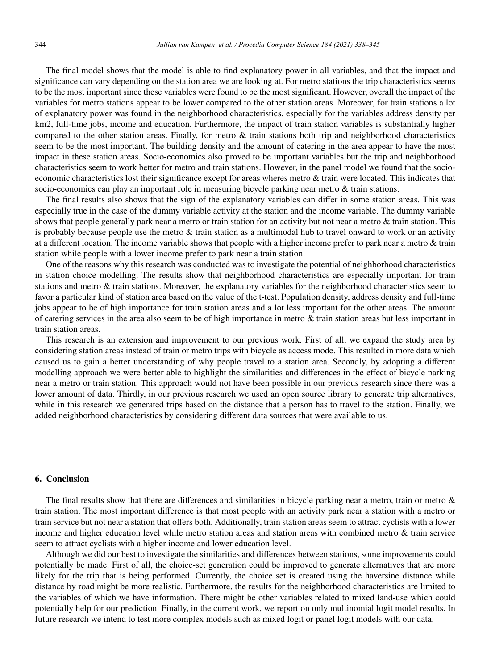The final model shows that the model is able to find explanatory power in all variables, and that the impact and significance can vary depending on the station area we are looking at. For metro stations the trip characteristics seems to be the most important since these variables were found to be the most significant. However, overall the impact of the variables for metro stations appear to be lower compared to the other station areas. Moreover, for train stations a lot of explanatory power was found in the neighborhood characteristics, especially for the variables address density per km2, full-time jobs, income and education. Furthermore, the impact of train station variables is substantially higher compared to the other station areas. Finally, for metro & train stations both trip and neighborhood characteristics seem to be the most important. The building density and the amount of catering in the area appear to have the most impact in these station areas. Socio-economics also proved to be important variables but the trip and neighborhood characteristics seem to work better for metro and train stations. However, in the panel model we found that the socioeconomic characteristics lost their significance except for areas wheres metro & train were located. This indicates that socio-economics can play an important role in measuring bicycle parking near metro & train stations.

The final results also shows that the sign of the explanatory variables can differ in some station areas. This was especially true in the case of the dummy variable activity at the station and the income variable. The dummy variable shows that people generally park near a metro or train station for an activity but not near a metro & train station. This is probably because people use the metro & train station as a multimodal hub to travel onward to work or an activity at a different location. The income variable shows that people with a higher income prefer to park near a metro & train station while people with a lower income prefer to park near a train station.

One of the reasons why this research was conducted was to investigate the potential of neighborhood characteristics in station choice modelling. The results show that neighborhood characteristics are especially important for train stations and metro & train stations. Moreover, the explanatory variables for the neighborhood characteristics seem to favor a particular kind of station area based on the value of the t-test. Population density, address density and full-time jobs appear to be of high importance for train station areas and a lot less important for the other areas. The amount of catering services in the area also seem to be of high importance in metro & train station areas but less important in train station areas.

This research is an extension and improvement to our previous work. First of all, we expand the study area by considering station areas instead of train or metro trips with bicycle as access mode. This resulted in more data which caused us to gain a better understanding of why people travel to a station area. Secondly, by adopting a different modelling approach we were better able to highlight the similarities and differences in the effect of bicycle parking near a metro or train station. This approach would not have been possible in our previous research since there was a lower amount of data. Thirdly, in our previous research we used an open source library to generate trip alternatives, while in this research we generated trips based on the distance that a person has to travel to the station. Finally, we added neighborhood characteristics by considering different data sources that were available to us.

## 6. Conclusion

The final results show that there are differences and similarities in bicycle parking near a metro, train or metro  $\&$ train station. The most important difference is that most people with an activity park near a station with a metro or train service but not near a station that offers both. Additionally, train station areas seem to attract cyclists with a lower income and higher education level while metro station areas and station areas with combined metro & train service seem to attract cyclists with a higher income and lower education level.

Although we did our best to investigate the similarities and differences between stations, some improvements could potentially be made. First of all, the choice-set generation could be improved to generate alternatives that are more likely for the trip that is being performed. Currently, the choice set is created using the haversine distance while distance by road might be more realistic. Furthermore, the results for the neighborhood characteristics are limited to the variables of which we have information. There might be other variables related to mixed land-use which could potentially help for our prediction. Finally, in the current work, we report on only multinomial logit model results. In future research we intend to test more complex models such as mixed logit or panel logit models with our data.